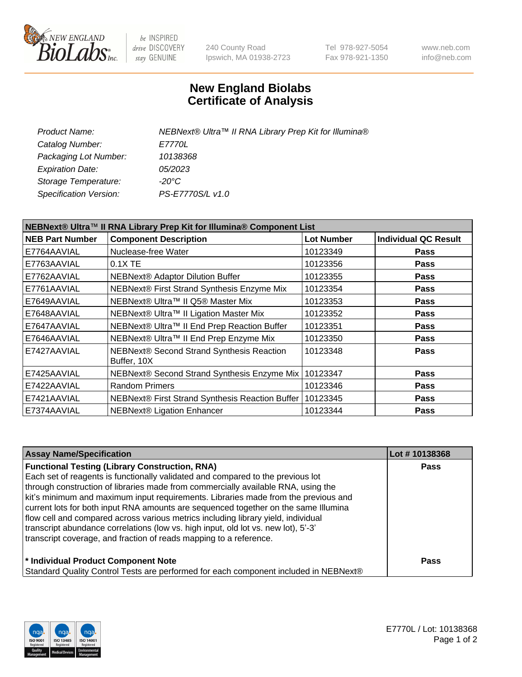

be INSPIRED drive DISCOVERY stay GENUINE

240 County Road Ipswich, MA 01938-2723 Tel 978-927-5054 Fax 978-921-1350 www.neb.com info@neb.com

## **New England Biolabs Certificate of Analysis**

| Product Name:           | NEBNext® Ultra™ II RNA Library Prep Kit for Illumina® |
|-------------------------|-------------------------------------------------------|
| Catalog Number:         | <i>E7770L</i>                                         |
| Packaging Lot Number:   | 10138368                                              |
| <b>Expiration Date:</b> | <i>05/2023</i>                                        |
| Storage Temperature:    | -20°C                                                 |
| Specification Version:  | PS-E7770S/L v1.0                                      |
|                         |                                                       |

| NEBNext® Ultra™ II RNA Library Prep Kit for Illumina® Component List |                                                          |                   |                             |  |
|----------------------------------------------------------------------|----------------------------------------------------------|-------------------|-----------------------------|--|
| <b>NEB Part Number</b>                                               | <b>Component Description</b>                             | <b>Lot Number</b> | <b>Individual QC Result</b> |  |
| E7764AAVIAL                                                          | Nuclease-free Water                                      | 10123349          | <b>Pass</b>                 |  |
| E7763AAVIAL                                                          | 0.1X TE                                                  | 10123356          | <b>Pass</b>                 |  |
| E7762AAVIAL                                                          | NEBNext® Adaptor Dilution Buffer                         | 10123355          | Pass                        |  |
| E7761AAVIAL                                                          | NEBNext® First Strand Synthesis Enzyme Mix               | 10123354          | <b>Pass</b>                 |  |
| E7649AAVIAL                                                          | NEBNext® Ultra™ II Q5® Master Mix                        | 10123353          | <b>Pass</b>                 |  |
| E7648AAVIAL                                                          | NEBNext® Ultra™ II Ligation Master Mix                   | 10123352          | <b>Pass</b>                 |  |
| E7647AAVIAL                                                          | NEBNext® Ultra™ II End Prep Reaction Buffer              | 10123351          | <b>Pass</b>                 |  |
| E7646AAVIAL                                                          | NEBNext® Ultra™ II End Prep Enzyme Mix                   | 10123350          | <b>Pass</b>                 |  |
| E7427AAVIAL                                                          | NEBNext® Second Strand Synthesis Reaction<br>Buffer, 10X | 10123348          | <b>Pass</b>                 |  |
| E7425AAVIAL                                                          | NEBNext® Second Strand Synthesis Enzyme Mix              | 10123347          | <b>Pass</b>                 |  |
| E7422AAVIAL                                                          | <b>Random Primers</b>                                    | 10123346          | <b>Pass</b>                 |  |
| E7421AAVIAL                                                          | NEBNext® First Strand Synthesis Reaction Buffer          | 10123345          | <b>Pass</b>                 |  |
| E7374AAVIAL                                                          | <b>NEBNext® Ligation Enhancer</b>                        | 10123344          | <b>Pass</b>                 |  |

| <b>Assay Name/Specification</b>                                                      | Lot #10138368 |
|--------------------------------------------------------------------------------------|---------------|
| <b>Functional Testing (Library Construction, RNA)</b>                                | <b>Pass</b>   |
| Each set of reagents is functionally validated and compared to the previous lot      |               |
| through construction of libraries made from commercially available RNA, using the    |               |
| kit's minimum and maximum input requirements. Libraries made from the previous and   |               |
| current lots for both input RNA amounts are sequenced together on the same Illumina  |               |
| flow cell and compared across various metrics including library yield, individual    |               |
| transcript abundance correlations (low vs. high input, old lot vs. new lot), 5'-3'   |               |
| transcript coverage, and fraction of reads mapping to a reference.                   |               |
| * Individual Product Component Note                                                  | Pass          |
| Standard Quality Control Tests are performed for each component included in NEBNext® |               |